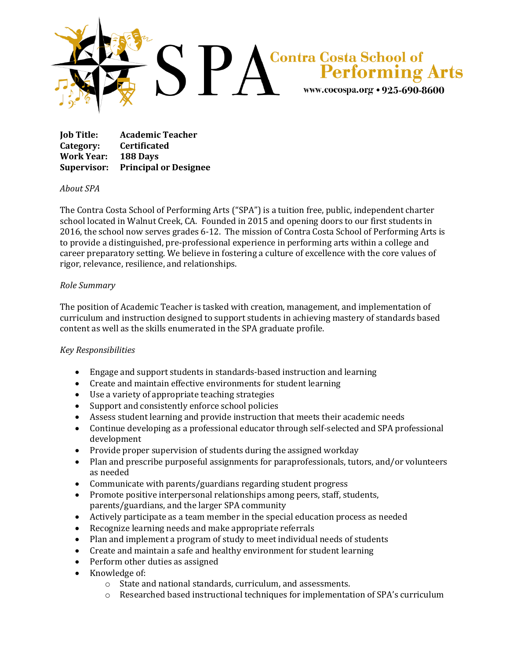

**Job Title: Academic Teacher Category: Certificated Work Year: 188 Days Supervisor: Principal or Designee**

## *About SPA*

The Contra Costa School of Performing Arts ("SPA") is a tuition free, public, independent charter school located in Walnut Creek, CA. Founded in 2015 and opening doors to our first students in 2016, the school now serves grades 6-12. The mission of Contra Costa School of Performing Arts is to provide a distinguished, pre-professional experience in performing arts within a college and career preparatory setting. We believe in fostering a culture of excellence with the core values of rigor, relevance, resilience, and relationships.

## *Role Summary*

The position of Academic Teacher is tasked with creation, management, and implementation of curriculum and instruction designed to support students in achieving mastery of standards based content as well as the skills enumerated in the SPA graduate profile.

## *Key Responsibilities*

- Engage and support students in standards-based instruction and learning
- Create and maintain effective environments for student learning
- Use a variety of appropriate teaching strategies
- Support and consistently enforce school policies
- Assess student learning and provide instruction that meets their academic needs
- Continue developing as a professional educator through self-selected and SPA professional development
- Provide proper supervision of students during the assigned workday
- Plan and prescribe purposeful assignments for paraprofessionals, tutors, and/or volunteers as needed
- Communicate with parents/guardians regarding student progress
- Promote positive interpersonal relationships among peers, staff, students, parents/guardians, and the larger SPA community
- Actively participate as a team member in the special education process as needed
- Recognize learning needs and make appropriate referrals
- Plan and implement a program of study to meet individual needs of students
- Create and maintain a safe and healthy environment for student learning
- Perform other duties as assigned
- Knowledge of:
	- o State and national standards, curriculum, and assessments.
	- o Researched based instructional techniques for implementation of SPA's curriculum